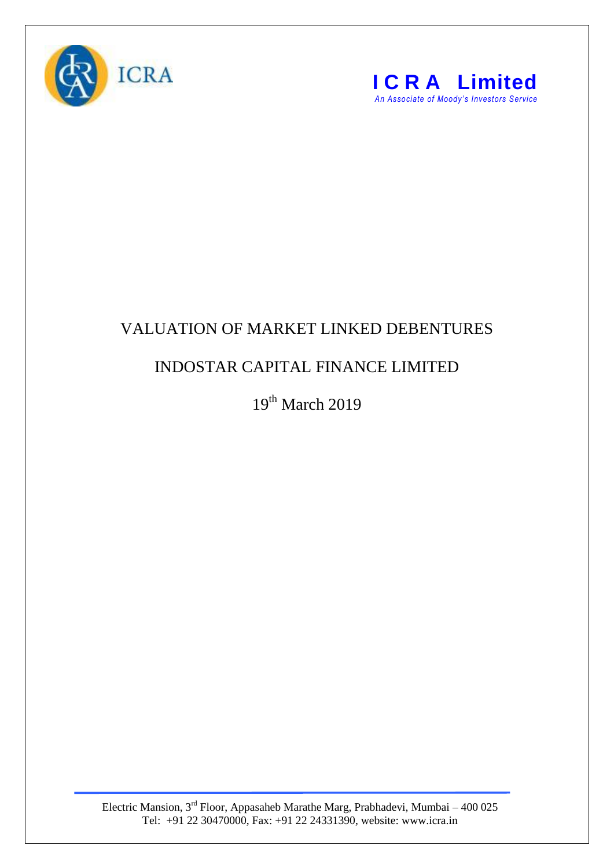



## VALUATION OF MARKET LINKED DEBENTURES

## INDOSTAR CAPITAL FINANCE LIMITED

19th March 2019

Electric Mansion,  $3<sup>rd</sup>$  Floor, Appasaheb Marathe Marg, Prabhadevi, Mumbai – 400 025 Tel: +91 22 30470000, Fax: +91 22 24331390, website: www.icra.in